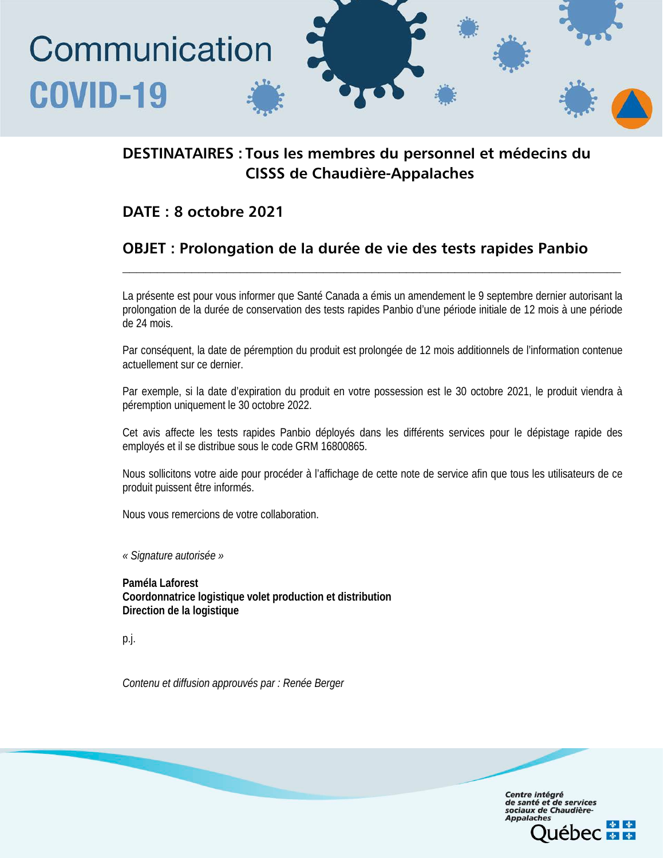# Communication **COVID-19**

# DESTINATAIRES : Tous les membres du personnel et médecins du CISSS de Chaudière-Appalaches

## DATE : 8 octobre 2021

# OBJET : Prolongation de la durée de vie des tests rapides Panbio

La présente est pour vous informer que Santé Canada a émis un amendement le 9 septembre dernier autorisant la prolongation de la durée de conservation des tests rapides Panbio d'une période initiale de 12 mois à une période de 24 mois.

**\_\_\_\_\_\_\_\_\_\_\_\_\_\_\_\_\_\_\_\_\_\_\_\_\_\_\_\_\_\_\_\_\_\_\_\_\_\_\_\_\_\_\_\_\_\_\_\_\_\_\_\_\_\_\_\_\_\_\_\_\_\_\_\_\_\_\_\_\_\_\_\_**

Par conséquent, la date de péremption du produit est prolongée de 12 mois additionnels de l'information contenue actuellement sur ce dernier.

Par exemple, si la date d'expiration du produit en votre possession est le 30 octobre 2021, le produit viendra à péremption uniquement le 30 octobre 2022.

Cet avis affecte les tests rapides Panbio déployés dans les différents services pour le dépistage rapide des employés et il se distribue sous le code GRM 16800865.

Nous sollicitons votre aide pour procéder à l'affichage de cette note de service afin que tous les utilisateurs de ce produit puissent être informés.

> Centre intégré de santé et de services<br>sociaux de Chaudière-

> > **EDEC & &**

**Appalache** 

Nous vous remercions de votre collaboration.

*« Signature autorisée »*

**Paméla Laforest Coordonnatrice logistique volet production et distribution Direction de la logistique**

p.j.

*Contenu et diffusion approuvés par : Renée Berger*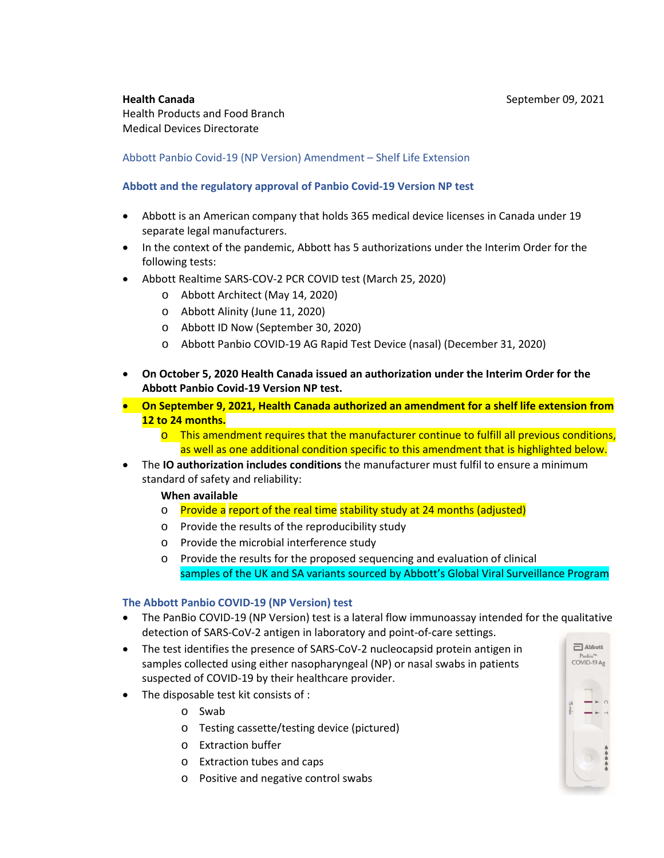**Health Canada September 09, 2021** Health Products and Food Branch Medical Devices Directorate

## Abbott Panbio Covid-19 (NP Version) Amendment – Shelf Life Extension

## **Abbott and the regulatory approval of Panbio Covid-19 Version NP test**

- Abbott is an American company that holds 365 medical device licenses in Canada under 19 separate legal manufacturers.
- In the context of the pandemic, Abbott has 5 authorizations under the Interim Order for the following tests:
- Abbott Realtime SARS-COV-2 PCR COVID test (March 25, 2020)
	- o Abbott Architect (May 14, 2020)
	- o Abbott Alinity (June 11, 2020)
	- o Abbott ID Now (September 30, 2020)
	- o Abbott Panbio COVID-19 AG Rapid Test Device (nasal) (December 31, 2020)
- **On October 5, 2020 Health Canada issued an authorization under the Interim Order for the Abbott Panbio Covid-19 Version NP test.**
- **On September 9, 2021, Health Canada authorized an amendment for a shelf life extension from 12 to 24 months.** 
	- $\circ$  This amendment requires that the manufacturer continue to fulfill all previous conditions, as well as one additional condition specific to this amendment that is highlighted below.
- The **IO authorization includes conditions** the manufacturer must fulfil to ensure a minimum standard of safety and reliability:

## **When available**

- o Provide a report of the real time stability study at 24 months (adjusted)
- o Provide the results of the reproducibility study
- o Provide the microbial interference study
- o Provide the results for the proposed sequencing and evaluation of clinical samples of the UK and SA variants sourced by Abbott's Global Viral Surveillance Program

## **The Abbott Panbio COVID-19 (NP Version) test**

- The PanBio COVID-19 (NP Version) test is a lateral flow immunoassay intended for the qualitative detection of SARS-CoV-2 antigen in laboratory and point-of-care settings.
- The test identifies the presence of SARS-CoV-2 nucleocapsid protein antigen in samples collected using either nasopharyngeal (NP) or nasal swabs in patients suspected of COVID-19 by their healthcare provider.
- The disposable test kit consists of :
	- o Swab
	- o Testing cassette/testing device (pictured)
	- o Extraction buffer
	- o Extraction tubes and caps
	- o Positive and negative control swabs